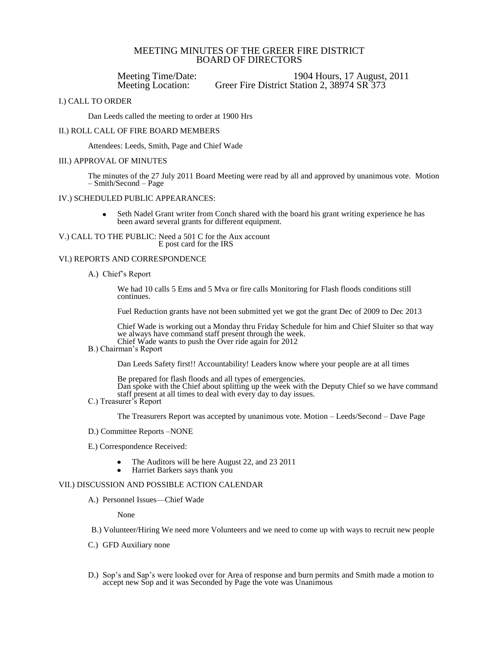# MEETING MINUTES OF THE GREER FIRE DISTRICT BOARD OF DIRECTORS

Meeting Time/Date: 1904 Hours, 17 August, 2011<br>Meeting Location: Greer Fire District Station 2, 38974 SR 373 Greer Fire District Station 2, 38974 SR 373

## I.) CALL TO ORDER

Dan Leeds called the meeting to order at 1900 Hrs

## II.) ROLL CALL OF FIRE BOARD MEMBERS

Attendees: Leeds, Smith, Page and Chief Wade

### III.) APPROVAL OF MINUTES

The minutes of the 27 July 2011 Board Meeting were read by all and approved by unanimous vote. Motion – Smith/Second – Page

## IV.) SCHEDULED PUBLIC APPEARANCES:

Seth Nadel Grant writer from Conch shared with the board his grant writing experience he has  $\bullet$ been award several grants for different equipment.

V.) CALL TO THE PUBLIC: Need a 501 C for the Aux account E post card for the IRS

## VI.) REPORTS AND CORRESPONDENCE

A.) Chief's Report

We had 10 calls 5 Ems and 5 Mva or fire calls Monitoring for Flash floods conditions still continues.

Fuel Reduction grants have not been submitted yet we got the grant Dec of 2009 to Dec 2013

Chief Wade is working out a Monday thru Friday Schedule for him and Chief Sluiter so that way we always have command staff present through the week. Chief Wade wants to push the Over ride again for 2012

# B.) Chairman's Report

Dan Leeds Safety first!! Accountability! Leaders know where your people are at all times

Be prepared for flash floods and all types of emergencies. Dan spoke with the Chief about splitting up the week with the Deputy Chief so we have command staff present at all times to deal with every day to day issues.

C.) Treasurer's Report

The Treasurers Report was accepted by unanimous vote. Motion – Leeds/Second – Dave Page

- D.) Committee Reports –NONE
- E.) Correspondence Received:
	- The Auditors will be here August 22, and 23 2011
	- Harriet Barkers says thank you

# VII.) DISCUSSION AND POSSIBLE ACTION CALENDAR

A.) Personnel Issues—Chief Wade

None

- B.) Volunteer/Hiring We need more Volunteers and we need to come up with ways to recruit new people
- C.) GFD Auxiliary none
- D.) Sop's and Sap's were looked over for Area of response and burn permits and Smith made a motion to accept new Sop and it was Seconded by Page the vote was Unanimous